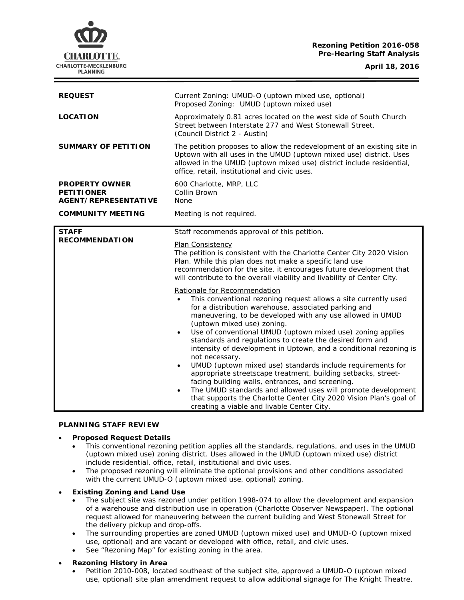# **Rezoning Petition 2016-058 Pre-Hearing Staff Analysis**

CHARLOTTE. CHARLOTTE-MECKLENBURG **PLANNING** 

| <b>REQUEST</b>                                                            | Current Zoning: UMUD-O (uptown mixed use, optional)<br>Proposed Zoning: UMUD (uptown mixed use)                                                                                                                                                                                                                                                                                                                                                                                                                                                                                                                                                                                                                                                                                                                                                                                   |
|---------------------------------------------------------------------------|-----------------------------------------------------------------------------------------------------------------------------------------------------------------------------------------------------------------------------------------------------------------------------------------------------------------------------------------------------------------------------------------------------------------------------------------------------------------------------------------------------------------------------------------------------------------------------------------------------------------------------------------------------------------------------------------------------------------------------------------------------------------------------------------------------------------------------------------------------------------------------------|
| <b>LOCATION</b>                                                           | Approximately 0.81 acres located on the west side of South Church<br>Street between Interstate 277 and West Stonewall Street.<br>(Council District 2 - Austin)                                                                                                                                                                                                                                                                                                                                                                                                                                                                                                                                                                                                                                                                                                                    |
| <b>SUMMARY OF PETITION</b>                                                | The petition proposes to allow the redevelopment of an existing site in<br>Uptown with all uses in the UMUD (uptown mixed use) district. Uses<br>allowed in the UMUD (uptown mixed use) district include residential,<br>office, retail, institutional and civic uses.                                                                                                                                                                                                                                                                                                                                                                                                                                                                                                                                                                                                            |
| <b>PROPERTY OWNER</b><br><b>PETITIONER</b><br><b>AGENT/REPRESENTATIVE</b> | 600 Charlotte, MRP, LLC<br>Collin Brown<br>None                                                                                                                                                                                                                                                                                                                                                                                                                                                                                                                                                                                                                                                                                                                                                                                                                                   |
| <b>COMMUNITY MEETING</b>                                                  | Meeting is not required.                                                                                                                                                                                                                                                                                                                                                                                                                                                                                                                                                                                                                                                                                                                                                                                                                                                          |
| <b>STAFF</b><br><b>RECOMMENDATION</b>                                     | Staff recommends approval of this petition.                                                                                                                                                                                                                                                                                                                                                                                                                                                                                                                                                                                                                                                                                                                                                                                                                                       |
|                                                                           | Plan Consistency<br>The petition is consistent with the Charlotte Center City 2020 Vision<br>Plan. While this plan does not make a specific land use<br>recommendation for the site, it encourages future development that<br>will contribute to the overall viability and livability of Center City.                                                                                                                                                                                                                                                                                                                                                                                                                                                                                                                                                                             |
|                                                                           | Rationale for Recommendation<br>This conventional rezoning request allows a site currently used<br>for a distribution warehouse, associated parking and<br>maneuvering, to be developed with any use allowed in UMUD<br>(uptown mixed use) zoning.<br>Use of conventional UMUD (uptown mixed use) zoning applies<br>$\bullet$<br>standards and regulations to create the desired form and<br>intensity of development in Uptown, and a conditional rezoning is<br>not necessary.<br>UMUD (uptown mixed use) standards include requirements for<br>$\bullet$<br>appropriate streetscape treatment, building setbacks, street-<br>facing building walls, entrances, and screening.<br>The UMUD standards and allowed uses will promote development<br>$\bullet$<br>that supports the Charlotte Center City 2020 Vision Plan's goal of<br>creating a viable and livable Center City. |

### **PLANNING STAFF REVIEW**

### • **Proposed Request Details**

- This conventional rezoning petition applies all the standards, regulations, and uses in the UMUD (uptown mixed use) zoning district. Uses allowed in the UMUD (uptown mixed use) district include residential, office, retail, institutional and civic uses.
- The proposed rezoning will eliminate the optional provisions and other conditions associated with the current UMUD-O (uptown mixed use, optional) zoning.

## • **Existing Zoning and Land Use**

- The subject site was rezoned under petition 1998-074 to allow the development and expansion of a warehouse and distribution use in operation (Charlotte Observer Newspaper). The optional request allowed for maneuvering between the current building and West Stonewall Street for the delivery pickup and drop-offs.
- The surrounding properties are zoned UMUD (uptown mixed use) and UMUD-O (uptown mixed use, optional) and are vacant or developed with office, retail, and civic uses.
- See "Rezoning Map" for existing zoning in the area.

# • **Rezoning History in Area**

• Petition 2010-008, located southeast of the subject site, approved a UMUD-O (uptown mixed use, optional) site plan amendment request to allow additional signage for The Knight Theatre,